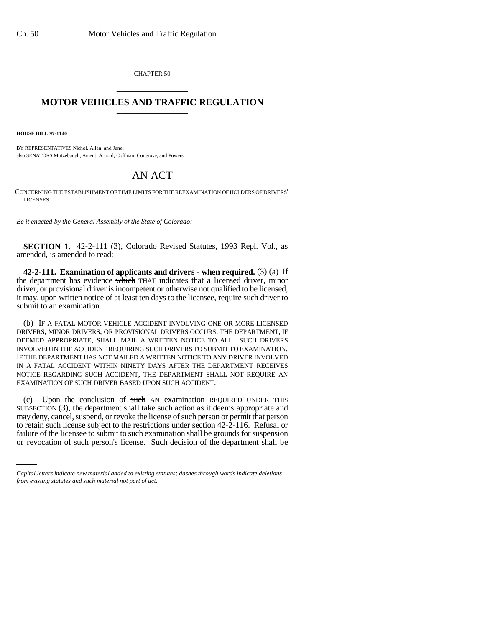CHAPTER 50 \_\_\_\_\_\_\_\_\_\_\_\_\_\_\_

## **MOTOR VEHICLES AND TRAFFIC REGULATION** \_\_\_\_\_\_\_\_\_\_\_\_\_\_\_

**HOUSE BILL 97-1140**

BY REPRESENTATIVES Nichol, Allen, and June; also SENATORS Mutzebaugh, Ament, Arnold, Coffman, Congrove, and Powers.

## AN ACT

CONCERNING THE ESTABLISHMENT OF TIME LIMITS FOR THE REEXAMINATION OF HOLDERS OF DRIVERS' LICENSES.

*Be it enacted by the General Assembly of the State of Colorado:*

**SECTION 1.** 42-2-111 (3), Colorado Revised Statutes, 1993 Repl. Vol., as amended, is amended to read:

**42-2-111. Examination of applicants and drivers - when required.** (3) (a) If the department has evidence which THAT indicates that a licensed driver, minor driver, or provisional driver is incompetent or otherwise not qualified to be licensed, it may, upon written notice of at least ten days to the licensee, require such driver to submit to an examination.

(b) IF A FATAL MOTOR VEHICLE ACCIDENT INVOLVING ONE OR MORE LICENSED DRIVERS, MINOR DRIVERS, OR PROVISIONAL DRIVERS OCCURS, THE DEPARTMENT, IF DEEMED APPROPRIATE, SHALL MAIL A WRITTEN NOTICE TO ALL SUCH DRIVERS INVOLVED IN THE ACCIDENT REQUIRING SUCH DRIVERS TO SUBMIT TO EXAMINATION. IF THE DEPARTMENT HAS NOT MAILED A WRITTEN NOTICE TO ANY DRIVER INVOLVED IN A FATAL ACCIDENT WITHIN NINETY DAYS AFTER THE DEPARTMENT RECEIVES NOTICE REGARDING SUCH ACCIDENT, THE DEPARTMENT SHALL NOT REQUIRE AN EXAMINATION OF SUCH DRIVER BASED UPON SUCH ACCIDENT.

to retain such license subject to the restrictions under section 42-2-116. Refusal or (c) Upon the conclusion of such AN examination REQUIRED UNDER THIS SUBSECTION (3), the department shall take such action as it deems appropriate and may deny, cancel, suspend, or revoke the license of such person or permit that person failure of the licensee to submit to such examination shall be grounds for suspension or revocation of such person's license. Such decision of the department shall be

*Capital letters indicate new material added to existing statutes; dashes through words indicate deletions from existing statutes and such material not part of act.*